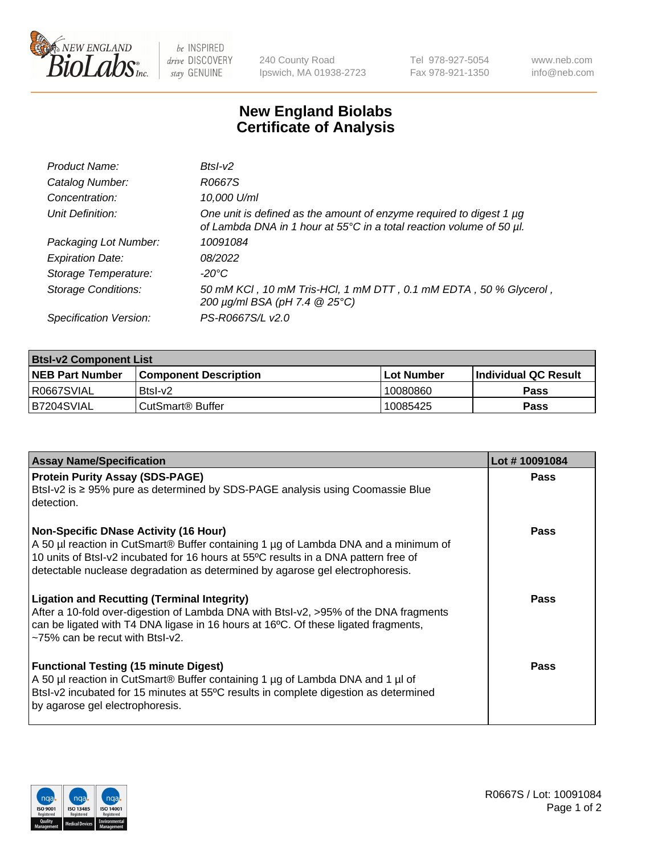

 $be$  INSPIRED drive DISCOVERY stay GENUINE

240 County Road Ipswich, MA 01938-2723 Tel 978-927-5054 Fax 978-921-1350 www.neb.com info@neb.com

## **New England Biolabs Certificate of Analysis**

| Product Name:              | $BtsI-V2$                                                                                                                                        |
|----------------------------|--------------------------------------------------------------------------------------------------------------------------------------------------|
| Catalog Number:            | R0667S                                                                                                                                           |
| Concentration:             | 10,000 U/ml                                                                                                                                      |
| Unit Definition:           | One unit is defined as the amount of enzyme required to digest 1 $\mu$ g<br>of Lambda DNA in 1 hour at 55°C in a total reaction volume of 50 µl. |
| Packaging Lot Number:      | 10091084                                                                                                                                         |
| <b>Expiration Date:</b>    | 08/2022                                                                                                                                          |
| Storage Temperature:       | -20°C                                                                                                                                            |
| <b>Storage Conditions:</b> | 50 mM KCI, 10 mM Tris-HCI, 1 mM DTT, 0.1 mM EDTA, 50 % Glycerol,<br>200 µg/ml BSA (pH 7.4 @ 25°C)                                                |
| Specification Version:     | PS-R0667S/L v2.0                                                                                                                                 |

| <b>Btsl-v2 Component List</b> |                         |              |                             |  |  |
|-------------------------------|-------------------------|--------------|-----------------------------|--|--|
| <b>NEB Part Number</b>        | l Component Description | l Lot Number | <b>Individual QC Result</b> |  |  |
| I R0667SVIAL                  | Btsl-v2                 | 10080860     | Pass                        |  |  |
| IB7204SVIAL                   | l CutSmart® Buffer_     | 10085425     | Pass                        |  |  |

| <b>Assay Name/Specification</b>                                                                                                                                                                                                                                                                             | Lot #10091084 |
|-------------------------------------------------------------------------------------------------------------------------------------------------------------------------------------------------------------------------------------------------------------------------------------------------------------|---------------|
| <b>Protein Purity Assay (SDS-PAGE)</b><br>Btsl-v2 is ≥ 95% pure as determined by SDS-PAGE analysis using Coomassie Blue<br>detection.                                                                                                                                                                       | Pass          |
| <b>Non-Specific DNase Activity (16 Hour)</b><br>A 50 µl reaction in CutSmart® Buffer containing 1 µg of Lambda DNA and a minimum of<br>10 units of BtsI-v2 incubated for 16 hours at 55°C results in a DNA pattern free of<br>detectable nuclease degradation as determined by agarose gel electrophoresis. | <b>Pass</b>   |
| <b>Ligation and Recutting (Terminal Integrity)</b><br>After a 10-fold over-digestion of Lambda DNA with Btsl-v2, >95% of the DNA fragments<br>can be ligated with T4 DNA ligase in 16 hours at 16°C. Of these ligated fragments,<br>$\approx$ 75% can be recut with BtsI-v2.                                | Pass          |
| <b>Functional Testing (15 minute Digest)</b><br>A 50 µl reaction in CutSmart® Buffer containing 1 µg of Lambda DNA and 1 µl of<br>Btsl-v2 incubated for 15 minutes at 55°C results in complete digestion as determined<br>by agarose gel electrophoresis.                                                   | Pass          |